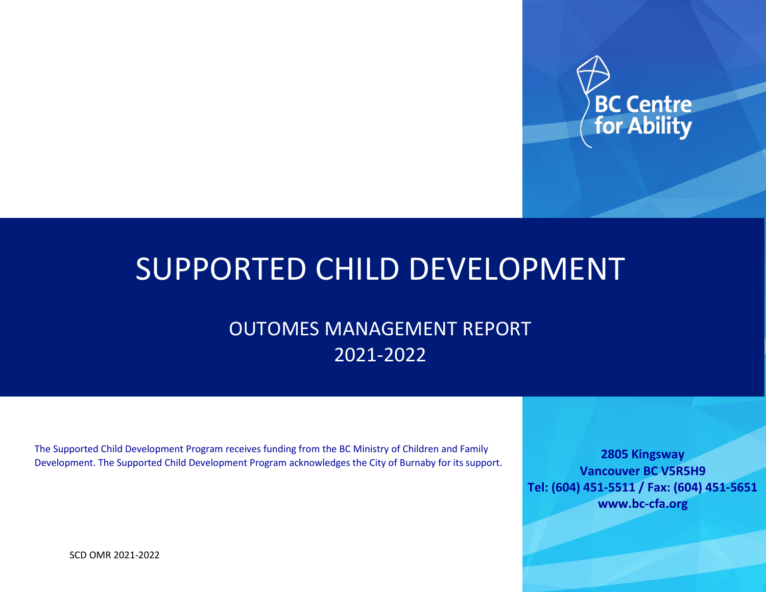

# SUPPORTED CHILD DEVELOPMENT

## OUTOMES MANAGEMENT REPORT 2021-2022

The Supported Child Development Program receives funding from the BC Ministry of Children and Family Development. The Supported Child Development Program acknowledges the City of Burnaby for its support.

**2805 Kingsway Vancouver BC V5R5H9 Tel: (604) 451-5511 / Fax: (604) 451-5651 www.bc-cfa.org**

SCD OMR 2021-2022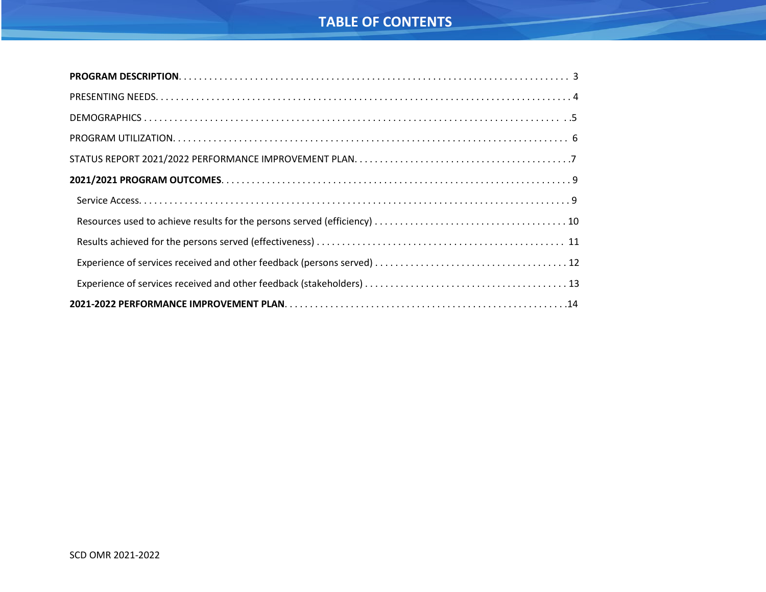## **TABLE OF CONTENTS**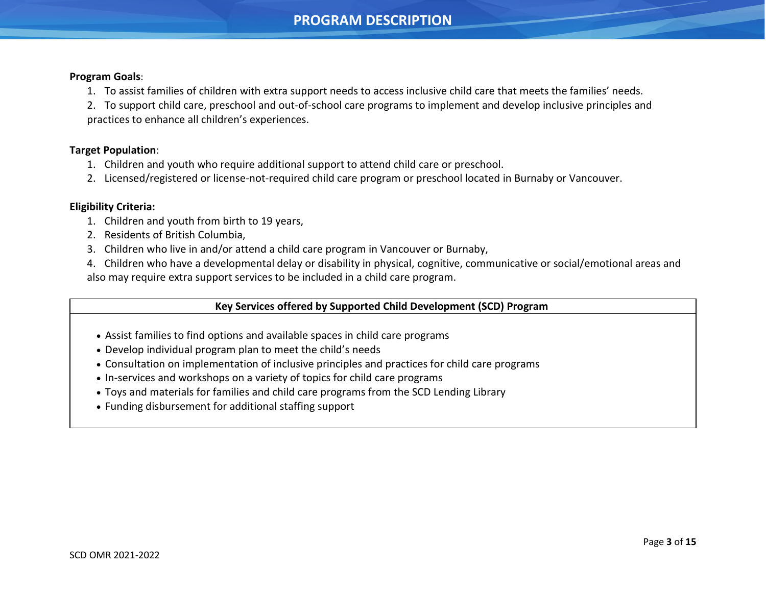### **PROGRAM DESCRIPTION**

#### **Program Goals**:

<span id="page-2-0"></span>j

- 1. To assist families of children with extra support needs to access inclusive child care that meets the families' needs.
- 2. To support child care, preschool and out-of-school care programs to implement and develop inclusive principles and practices to enhance all children's experiences.

#### **Target Population**:

- 1. Children and youth who require additional support to attend child care or preschool.
- 2. Licensed/registered or license-not-required child care program or preschool located in Burnaby or Vancouver.

#### **Eligibility Criteria:**

- 1. Children and youth from birth to 19 years,
- 2. Residents of British Columbia,
- 3. Children who live in and/or attend a child care program in Vancouver or Burnaby,
- 4. Children who have a developmental delay or disability in physical, cognitive, communicative or social/emotional areas and also may require extra support services to be included in a child care program.

#### **Key Services offered by Supported Child Development (SCD) Program**

- Assist families to find options and available spaces in child care programs
- Develop individual program plan to meet the child's needs
- Consultation on implementation of inclusive principles and practices for child care programs
- In-services and workshops on a variety of topics for child care programs
- Toys and materials for families and child care programs from the SCD Lending Library
- Funding disbursement for additional staffing support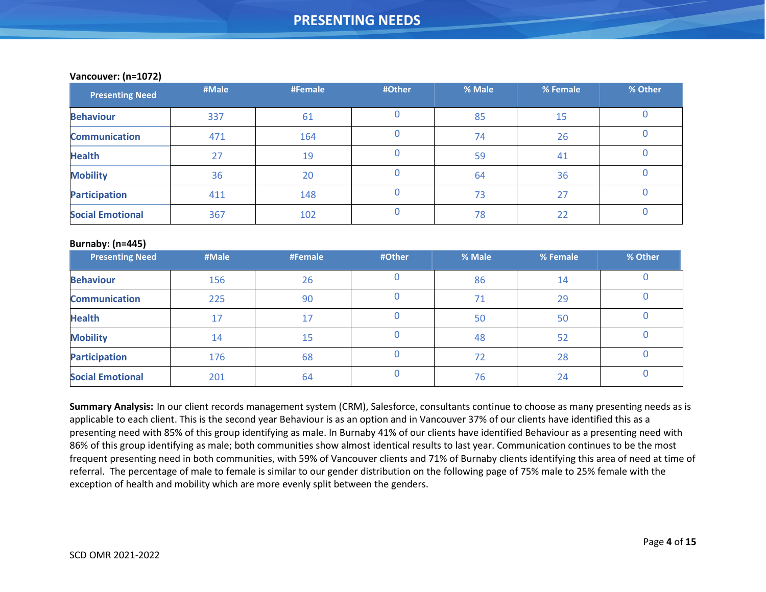| <b>Presenting Need</b>  | #Male | #Female | #Other | % Male | % Female | % Other |
|-------------------------|-------|---------|--------|--------|----------|---------|
| <b>Behaviour</b>        | 337   | 61      |        | 85     | 15       |         |
| <b>Communication</b>    | 471   | 164     |        | 74     | 26       |         |
| <b>Health</b>           | 27    | 19      |        | 59     | 41       |         |
| <b>Mobility</b>         | 36    | 20      |        | 64     | 36       |         |
| <b>Participation</b>    | 411   | 148     |        | 73     | 27       |         |
| <b>Social Emotional</b> | 367   | 102     |        | 78     | 22       |         |

#### **Vancouver: (n=1072)**

<span id="page-3-0"></span>j

#### **Burnaby: (n=445)**

| $\sqrt{2}$<br><b>Presenting Need</b> | #Male | #Female | #Other | % Male | % Female | % Other |
|--------------------------------------|-------|---------|--------|--------|----------|---------|
| <b>Behaviour</b>                     | 156   | 26      |        | 86     | 14       |         |
| <b>Communication</b>                 | 225   | 90      |        | 71     | 29       |         |
| <b>Health</b>                        | 17    | 17      |        | 50     | 50       |         |
| <b>Mobility</b>                      | 14    | 15      |        | 48     | 52       |         |
| <b>Participation</b>                 | 176   | 68      |        | 72     | 28       |         |
| <b>Social Emotional</b>              | 201   | 64      |        | 76     | 24       |         |

**Summary Analysis:** In our client records management system (CRM), Salesforce, consultants continue to choose as many presenting needs as is applicable to each client. This is the second year Behaviour is as an option and in Vancouver 37% of our clients have identified this as a presenting need with 85% of this group identifying as male. In Burnaby 41% of our clients have identified Behaviour as a presenting need with 86% of this group identifying as male; both communities show almost identical results to last year. Communication continues to be the most frequent presenting need in both communities, with 59% of Vancouver clients and 71% of Burnaby clients identifying this area of need at time of referral. The percentage of male to female is similar to our gender distribution on the following page of 75% male to 25% female with the exception of health and mobility which are more evenly split between the genders.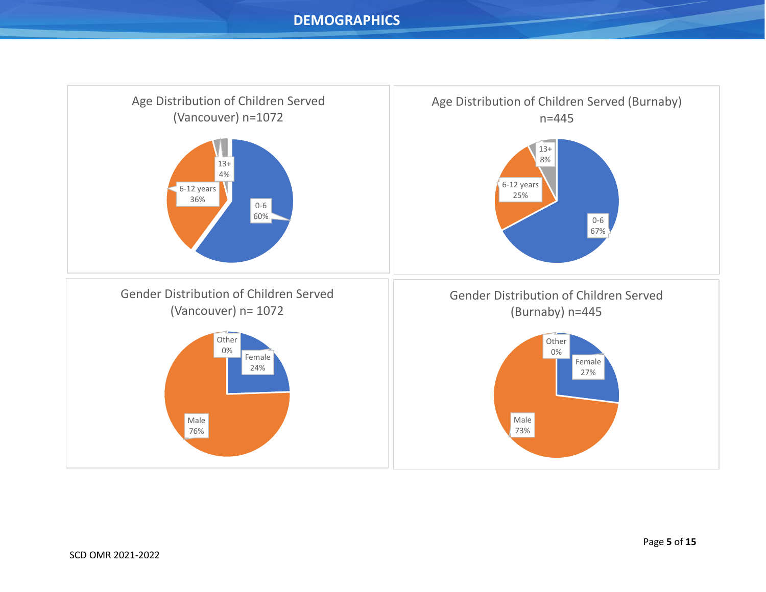<span id="page-4-0"></span>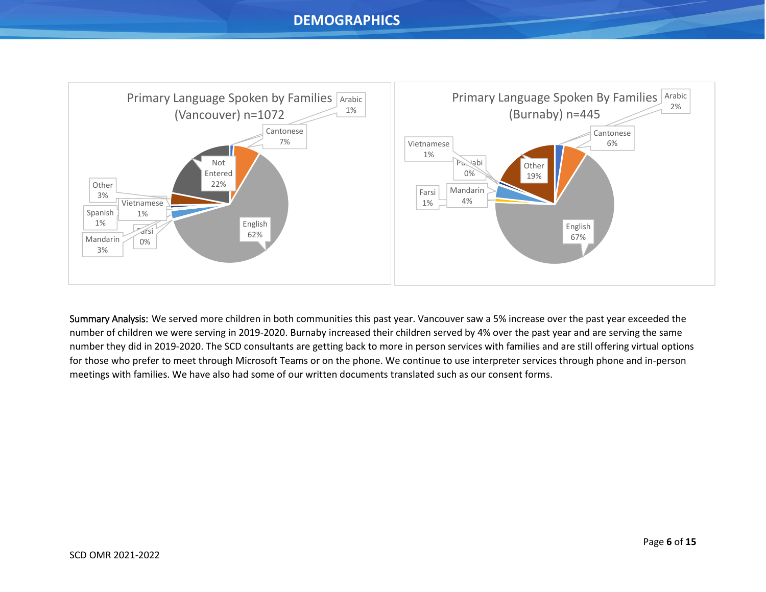<span id="page-5-0"></span>

Summary Analysis: We served more children in both communities this past year. Vancouver saw a 5% increase over the past year exceeded the number of children we were serving in 2019-2020. Burnaby increased their children served by 4% over the past year and are serving the same number they did in 2019-2020. The SCD consultants are getting back to more in person services with families and are still offering virtual options for those who prefer to meet through Microsoft Teams or on the phone. We continue to use interpreter services through phone and in-person meetings with families. We have also had some of our written documents translated such as our consent forms.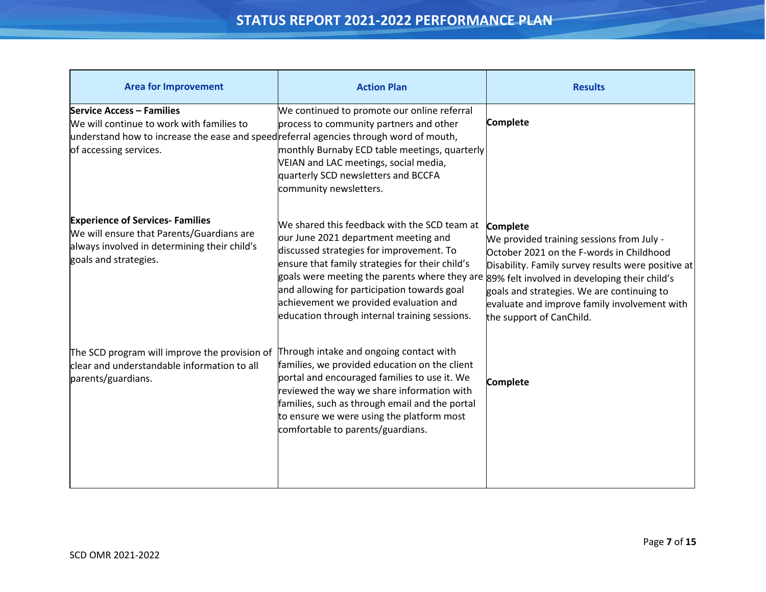## **STATUS REPORT 2021-2022 PERFORMANCE PLAN**

<span id="page-6-0"></span>

| <b>Area for Improvement</b>                                                                                                                                                                      | <b>Action Plan</b>                                                                                                                                                                                                                                                                                                                                                                                                           | <b>Results</b>                                                                                                                                                                                                                                                                           |
|--------------------------------------------------------------------------------------------------------------------------------------------------------------------------------------------------|------------------------------------------------------------------------------------------------------------------------------------------------------------------------------------------------------------------------------------------------------------------------------------------------------------------------------------------------------------------------------------------------------------------------------|------------------------------------------------------------------------------------------------------------------------------------------------------------------------------------------------------------------------------------------------------------------------------------------|
| <b>Service Access - Families</b><br>We will continue to work with families to<br>understand how to increase the ease and speedreferral agencies through word of mouth,<br>of accessing services. | We continued to promote our online referral<br>process to community partners and other<br>monthly Burnaby ECD table meetings, quarterly<br>VEIAN and LAC meetings, social media,<br>quarterly SCD newsletters and BCCFA<br>community newsletters.                                                                                                                                                                            | <b>Complete</b>                                                                                                                                                                                                                                                                          |
| <b>Experience of Services- Families</b><br>We will ensure that Parents/Guardians are<br>always involved in determining their child's<br>goals and strategies.                                    | We shared this feedback with the SCD team at<br>our June 2021 department meeting and<br>discussed strategies for improvement. To<br>ensure that family strategies for their child's<br>goals were meeting the parents where they are 89% felt involved in developing their child's<br>and allowing for participation towards goal<br>achievement we provided evaluation and<br>education through internal training sessions. | <b>Complete</b><br>We provided training sessions from July -<br>October 2021 on the F-words in Childhood<br>Disability. Family survey results were positive at<br>goals and strategies. We are continuing to<br>evaluate and improve family involvement with<br>the support of CanChild. |
| The SCD program will improve the provision of<br>clear and understandable information to all<br>parents/guardians.                                                                               | Through intake and ongoing contact with<br>families, we provided education on the client<br>portal and encouraged families to use it. We<br>reviewed the way we share information with<br>families, such as through email and the portal<br>to ensure we were using the platform most<br>comfortable to parents/guardians.                                                                                                   | <b>Complete</b>                                                                                                                                                                                                                                                                          |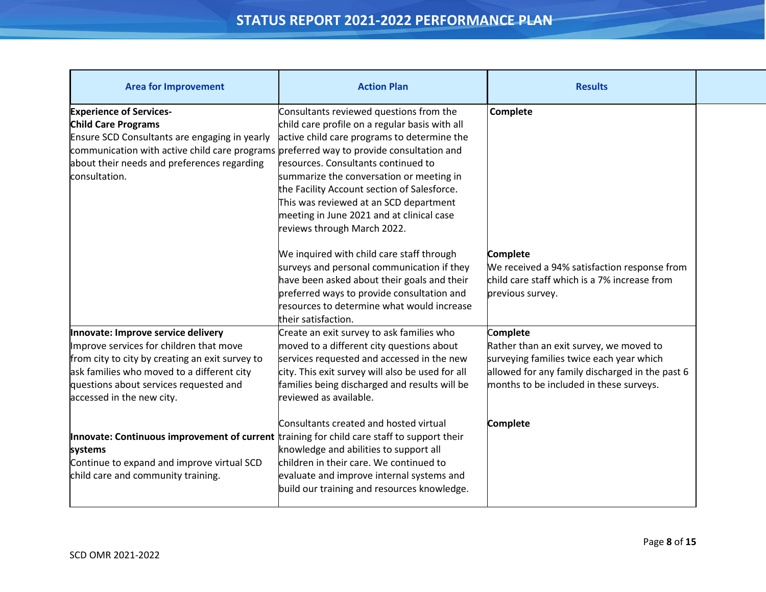## **STATUS REPORT 2021-2022 PERFORMANCE PLAN**

| <b>Area for Improvement</b>                                                                                                                                                                                                                                              | <b>Action Plan</b>                                                                                                                                                                                                                                                                                                                                                                               | <b>Results</b>                                                                                                                                                                                |  |
|--------------------------------------------------------------------------------------------------------------------------------------------------------------------------------------------------------------------------------------------------------------------------|--------------------------------------------------------------------------------------------------------------------------------------------------------------------------------------------------------------------------------------------------------------------------------------------------------------------------------------------------------------------------------------------------|-----------------------------------------------------------------------------------------------------------------------------------------------------------------------------------------------|--|
| <b>Experience of Services-</b><br><b>Child Care Programs</b><br>Ensure SCD Consultants are engaging in yearly<br>communication with active child care programs preferred way to provide consultation and<br>about their needs and preferences regarding<br>consultation. | Consultants reviewed questions from the<br>child care profile on a regular basis with all<br>active child care programs to determine the<br>resources. Consultants continued to<br>summarize the conversation or meeting in<br>the Facility Account section of Salesforce.<br>This was reviewed at an SCD department<br>meeting in June 2021 and at clinical case<br>reviews through March 2022. | Complete                                                                                                                                                                                      |  |
|                                                                                                                                                                                                                                                                          | We inquired with child care staff through<br>surveys and personal communication if they<br>have been asked about their goals and their<br>preferred ways to provide consultation and<br>resources to determine what would increase<br>their satisfaction.                                                                                                                                        | <b>Complete</b><br>We received a 94% satisfaction response from<br>child care staff which is a 7% increase from<br>previous survey.                                                           |  |
| Innovate: Improve service delivery<br>Improve services for children that move<br>from city to city by creating an exit survey to<br>ask families who moved to a different city<br>questions about services requested and<br>accessed in the new city.                    | Create an exit survey to ask families who<br>moved to a different city questions about<br>services requested and accessed in the new<br>city. This exit survey will also be used for all<br>families being discharged and results will be<br>reviewed as available.                                                                                                                              | Complete<br>Rather than an exit survey, we moved to<br>surveying families twice each year which<br>allowed for any family discharged in the past 6<br>months to be included in these surveys. |  |
| Innovate: Continuous improvement of current training for child care staff to support their<br>systems<br>Continue to expand and improve virtual SCD<br>child care and community training.                                                                                | Consultants created and hosted virtual<br>knowledge and abilities to support all<br>children in their care. We continued to<br>evaluate and improve internal systems and<br>build our training and resources knowledge.                                                                                                                                                                          | <b>Complete</b>                                                                                                                                                                               |  |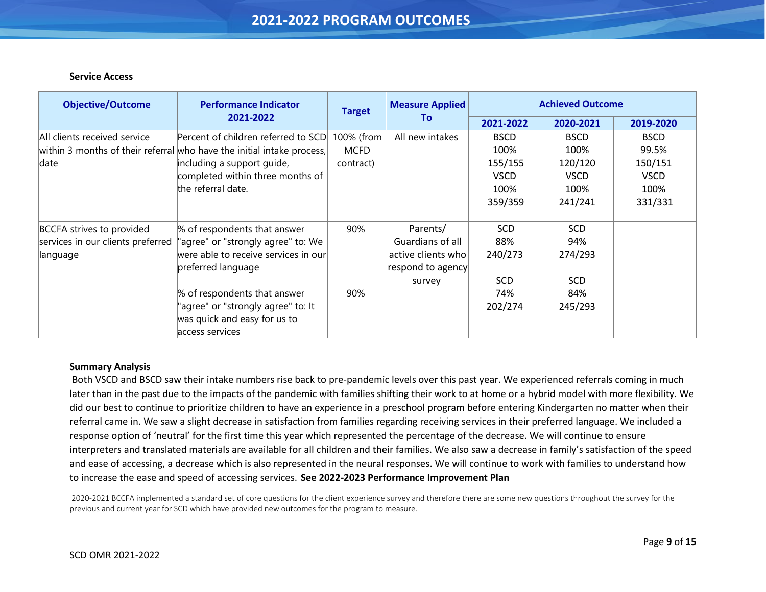#### **Service Access**

<span id="page-8-0"></span>j

| <b>Objective/Outcome</b>          | <b>Performance Indicator</b>                                           | <b>Target</b> | <b>Measure Applied</b> | <b>Achieved Outcome</b> |             |             |
|-----------------------------------|------------------------------------------------------------------------|---------------|------------------------|-------------------------|-------------|-------------|
|                                   | 2021-2022                                                              |               | To                     | 2021-2022               | 2020-2021   | 2019-2020   |
| All clients received service      | Percent of children referred to SCD                                    | 100% (from    | All new intakes        | <b>BSCD</b>             | <b>BSCD</b> | <b>BSCD</b> |
|                                   | within 3 months of their referral who have the initial intake process, | <b>MCFD</b>   |                        | 100%                    | 100%        | 99.5%       |
| date                              | including a support guide,                                             | contract)     |                        | 155/155                 | 120/120     | 150/151     |
|                                   | completed within three months of                                       |               |                        | <b>VSCD</b>             | <b>VSCD</b> | <b>VSCD</b> |
|                                   | the referral date.                                                     |               |                        | 100%                    | 100%        | 100%        |
|                                   |                                                                        |               |                        | 359/359                 | 241/241     | 331/331     |
| BCCFA strives to provided         | % of respondents that answer                                           | 90%           | Parents/               | <b>SCD</b>              | <b>SCD</b>  |             |
| services in our clients preferred | "agree" or "strongly agree" to: We                                     |               | Guardians of all       | 88%                     | 94%         |             |
| language                          | were able to receive services in our $\mid$                            |               | active clients who     | 240/273                 | 274/293     |             |
|                                   | preferred language                                                     |               | respond to agency      |                         |             |             |
|                                   |                                                                        |               | survey                 | <b>SCD</b>              | <b>SCD</b>  |             |
|                                   | % of respondents that answer                                           | 90%           |                        | 74%                     | 84%         |             |
|                                   | "agree" or "strongly agree" to: It                                     |               |                        | 202/274                 | 245/293     |             |
|                                   | was quick and easy for us to                                           |               |                        |                         |             |             |
|                                   | access services                                                        |               |                        |                         |             |             |

#### **Summary Analysis**

Both VSCD and BSCD saw their intake numbers rise back to pre-pandemic levels over this past year. We experienced referrals coming in much later than in the past due to the impacts of the pandemic with families shifting their work to at home or a hybrid model with more flexibility. We did our best to continue to prioritize children to have an experience in a preschool program before entering Kindergarten no matter when their referral came in. We saw a slight decrease in satisfaction from families regarding receiving services in their preferred language. We included a response option of 'neutral' for the first time this year which represented the percentage of the decrease. We will continue to ensure interpreters and translated materials are available for all children and their families. We also saw a decrease in family's satisfaction of the speed and ease of accessing, a decrease which is also represented in the neural responses. We will continue to work with families to understand how to increase the ease and speed of accessing services. **See 2022-2023 Performance Improvement Plan**

 2020-2021 BCCFA implemented a standard set of core questions for the client experience survey and therefore there are some new questions throughout the survey for the previous and current year for SCD which have provided new outcomes for the program to measure.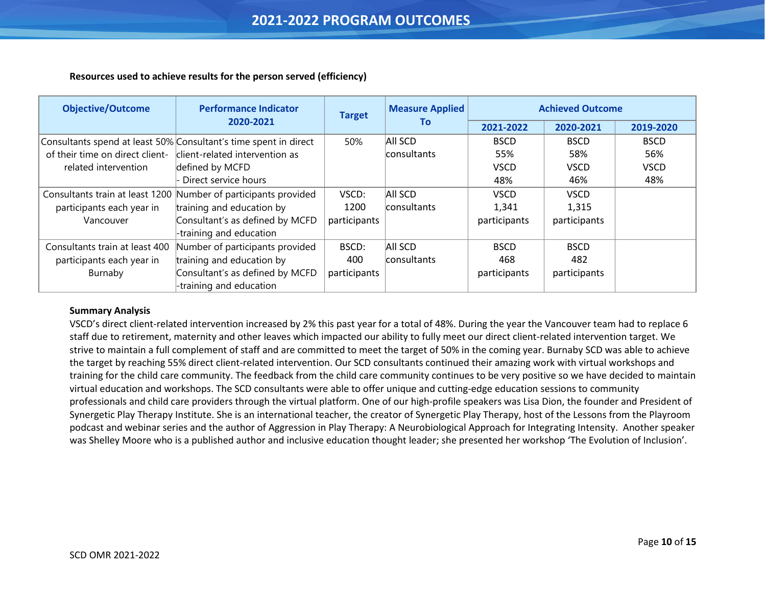#### **Resources used to achieve results for the person served (efficiency)**

| <b>Objective/Outcome</b>        | <b>Performance Indicator</b>                                     | <b>Target</b> | <b>Measure Applied</b> | <b>Achieved Outcome</b> |              |             |
|---------------------------------|------------------------------------------------------------------|---------------|------------------------|-------------------------|--------------|-------------|
|                                 | 2020-2021                                                        |               | Τo                     | 2021-2022               | 2020-2021    | 2019-2020   |
|                                 | Consultants spend at least 50% Consultant's time spent in direct | 50%           | AII SCD                | <b>BSCD</b>             | <b>BSCD</b>  | <b>BSCD</b> |
| of their time on direct client- | client-related intervention as                                   |               | consultants            | 55%                     | 58%          | 56%         |
| related intervention            | defined by MCFD                                                  |               |                        | <b>VSCD</b>             | <b>VSCD</b>  | <b>VSCD</b> |
|                                 | Direct service hours                                             |               |                        | 48%                     | 46%          | 48%         |
|                                 | Consultants train at least 1200 Number of participants provided  | VSCD:         | All SCD                | <b>VSCD</b>             | <b>VSCD</b>  |             |
| participants each year in       | training and education by                                        | 1200          | consultants            | 1,341                   | 1,315        |             |
| Vancouver                       | Consultant's as defined by MCFD                                  | participants  |                        | participants            | participants |             |
|                                 | -training and education                                          |               |                        |                         |              |             |
| Consultants train at least 400  | Number of participants provided                                  | BSCD:         | All SCD                | <b>BSCD</b>             | <b>BSCD</b>  |             |
| participants each year in       | training and education by                                        | 400           | consultants            | 468                     | 482          |             |
| Burnaby                         | Consultant's as defined by MCFD                                  | participants  |                        | participants            | participants |             |
|                                 | -training and education                                          |               |                        |                         |              |             |

#### **Summary Analysis**

<span id="page-9-0"></span>j

VSCD's direct client-related intervention increased by 2% this past year for a total of 48%. During the year the Vancouver team had to replace 6 staff due to retirement, maternity and other leaves which impacted our ability to fully meet our direct client-related intervention target. We strive to maintain a full complement of staff and are committed to meet the target of 50% in the coming year. Burnaby SCD was able to achieve the target by reaching 55% direct client-related intervention. Our SCD consultants continued their amazing work with virtual workshops and training for the child care community. The feedback from the child care community continues to be very positive so we have decided to maintain virtual education and workshops. The SCD consultants were able to offer unique and cutting-edge education sessions to community professionals and child care providers through the virtual platform. One of our high-profile speakers was Lisa Dion, the founder and President of Synergetic Play Therapy Institute. She is an international teacher, the creator of Synergetic Play Therapy, host of the Lessons from the Playroom podcast and webinar series and the author of Aggression in Play Therapy: A Neurobiological Approach for Integrating Intensity. Another speaker was Shelley Moore who is a published author and inclusive education thought leader; she presented her workshop 'The Evolution of Inclusion'.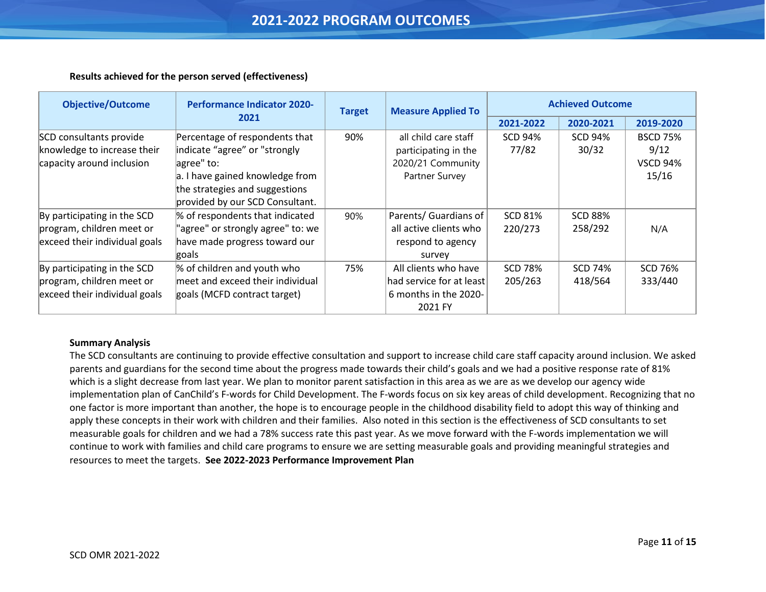#### **Results achieved for the person served (effectiveness)**

| <b>Objective/Outcome</b>      | <b>Performance Indicator 2020-</b> | <b>Target</b> | <b>Measure Applied To</b> | <b>Achieved Outcome</b> |                |                 |
|-------------------------------|------------------------------------|---------------|---------------------------|-------------------------|----------------|-----------------|
|                               | 2021                               |               |                           |                         | 2020-2021      | 2019-2020       |
| SCD consultants provide       | Percentage of respondents that     | 90%           | all child care staff      | <b>SCD 94%</b>          | <b>SCD 94%</b> | <b>BSCD 75%</b> |
| knowledge to increase their   | indicate "agree" or "strongly      |               | participating in the      | 77/82                   | 30/32          | 9/12            |
| capacity around inclusion     | agree" to:                         |               | 2020/21 Community         |                         |                | <b>VSCD 94%</b> |
|                               | a. I have gained knowledge from    |               | Partner Survey            |                         |                | 15/16           |
|                               | the strategies and suggestions     |               |                           |                         |                |                 |
|                               | provided by our SCD Consultant.    |               |                           |                         |                |                 |
| By participating in the SCD   | % of respondents that indicated    | 90%           | Parents/ Guardians of     | <b>SCD 81%</b>          | <b>SCD 88%</b> |                 |
| program, children meet or     | "agree" or strongly agree" to: we  |               | all active clients who    | 220/273                 | 258/292        | N/A             |
| exceed their individual goals | have made progress toward our      |               | respond to agency         |                         |                |                 |
|                               | goals                              |               | survey                    |                         |                |                 |
| By participating in the SCD   | % of children and youth who        | 75%           | All clients who have      | <b>SCD 78%</b>          | <b>SCD 74%</b> | <b>SCD 76%</b>  |
| program, children meet or     | meet and exceed their individual   |               | had service for at least  | 205/263                 | 418/564        | 333/440         |
| exceed their individual goals | goals (MCFD contract target)       |               | 6 months in the 2020-     |                         |                |                 |
|                               |                                    |               | 2021 FY                   |                         |                |                 |

#### **Summary Analysis**

<span id="page-10-0"></span>j

The SCD consultants are continuing to provide effective consultation and support to increase child care staff capacity around inclusion. We asked parents and guardians for the second time about the progress made towards their child's goals and we had a positive response rate of 81% which is a slight decrease from last year. We plan to monitor parent satisfaction in this area as we are as we develop our agency wide implementation plan of CanChild's F-words for Child Development. The F-words focus on six key areas of child development. Recognizing that no one factor is more important than another, the hope is to encourage people in the childhood disability field to adopt this way of thinking and apply these concepts in their work with children and their families. Also noted in this section is the effectiveness of SCD consultants to set measurable goals for children and we had a 78% success rate this past year. As we move forward with the F-words implementation we will continue to work with families and child care programs to ensure we are setting measurable goals and providing meaningful strategies and resources to meet the targets. **See 2022-2023 Performance Improvement Plan**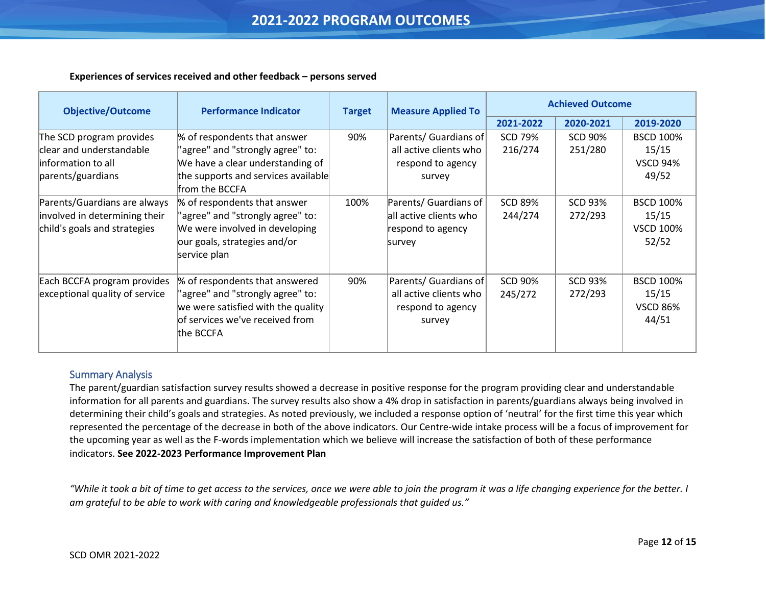#### **Experiences of services received and other feedback – persons served**

| <b>Objective/Outcome</b>                                                                         | <b>Performance Indicator</b>                                                                                                                                  | <b>Target</b> | <b>Measure Applied To</b>                                                      | <b>Achieved Outcome</b>   |                           |                                                        |
|--------------------------------------------------------------------------------------------------|---------------------------------------------------------------------------------------------------------------------------------------------------------------|---------------|--------------------------------------------------------------------------------|---------------------------|---------------------------|--------------------------------------------------------|
|                                                                                                  |                                                                                                                                                               |               |                                                                                | 2021-2022                 | 2020-2021                 | 2019-2020                                              |
| The SCD program provides<br>clear and understandable<br>linformation to all<br>parents/guardians | % of respondents that answer<br>"agree" and "strongly agree" to:<br>We have a clear understanding of<br>the supports and services available<br>from the BCCFA | 90%           | Parents/ Guardians of<br>all active clients who<br>respond to agency<br>survey | <b>SCD 79%</b><br>216/274 | <b>SCD 90%</b><br>251/280 | <b>BSCD 100%</b><br>15/15<br><b>VSCD 94%</b><br>49/52  |
| Parents/Guardians are always<br>involved in determining their<br>child's goals and strategies    | % of respondents that answer<br>"agree" and "strongly agree" to:<br>We were involved in developing<br>our goals, strategies and/or<br>service plan            | 100%          | Parents/ Guardians of<br>all active clients who<br>respond to agency<br>survey | <b>SCD 89%</b><br>244/274 | <b>SCD 93%</b><br>272/293 | <b>BSCD 100%</b><br>15/15<br><b>VSCD 100%</b><br>52/52 |
| Each BCCFA program provides<br>exceptional quality of service                                    | % of respondents that answered<br>"agree" and "strongly agree" to:<br>we were satisfied with the quality<br>of services we've received from<br>the BCCFA      | 90%           | Parents/ Guardians of<br>all active clients who<br>respond to agency<br>survey | <b>SCD 90%</b><br>245/272 | <b>SCD 93%</b><br>272/293 | <b>BSCD 100%</b><br>15/15<br><b>VSCD 86%</b><br>44/51  |

#### Summary Analysis

<span id="page-11-0"></span>j

The parent/guardian satisfaction survey results showed a decrease in positive response for the program providing clear and understandable information for all parents and guardians. The survey results also show a 4% drop in satisfaction in parents/guardians always being involved in determining their child's goals and strategies. As noted previously, we included a response option of 'neutral' for the first time this year which represented the percentage of the decrease in both of the above indicators. Our Centre-wide intake process will be a focus of improvement for the upcoming year as well as the F-words implementation which we believe will increase the satisfaction of both of these performance indicators. **See 2022-2023 Performance Improvement Plan**

*"While it took a bit of time to get access to the services, once we were able to join the program it was a life changing experience for the better. I am grateful to be able to work with caring and knowledgeable professionals that guided us."*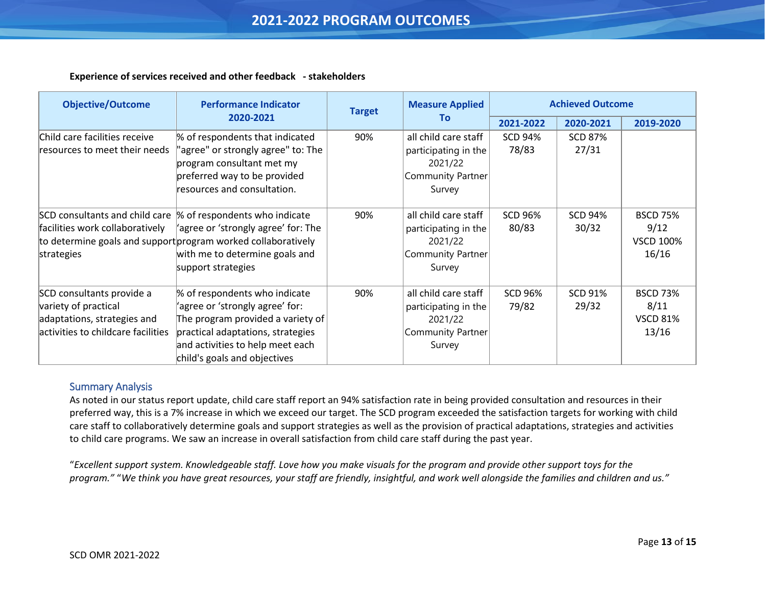#### **Experience of services received and other feedback - stakeholders**

| <b>Objective/Outcome</b>                                                                                               | <b>Performance Indicator</b>                                                                                                                                                                                                 | <b>Target</b> | <b>Measure Applied</b>                                                                        | <b>Achieved Outcome</b> |                         |                                                      |
|------------------------------------------------------------------------------------------------------------------------|------------------------------------------------------------------------------------------------------------------------------------------------------------------------------------------------------------------------------|---------------|-----------------------------------------------------------------------------------------------|-------------------------|-------------------------|------------------------------------------------------|
|                                                                                                                        | 2020-2021                                                                                                                                                                                                                    |               | To                                                                                            | 2021-2022               | 2020-2021               | 2019-2020                                            |
| Child care facilities receive<br>resources to meet their needs                                                         | % of respondents that indicated<br>'agree" or strongly agree" to: The<br>program consultant met my<br>preferred way to be provided<br>resources and consultation.                                                            | 90%           | all child care staff<br>participating in the<br>2021/22<br><b>Community Partner</b><br>Survey | <b>SCD 94%</b><br>78/83 | <b>SCD 87%</b><br>27/31 |                                                      |
| facilities work collaboratively<br>strategies                                                                          | SCD consultants and child care  % of respondents who indicate<br>agree or 'strongly agree' for: The<br>to determine goals and support program worked collaboratively<br>with me to determine goals and<br>support strategies | 90%           | all child care staff<br>participating in the<br>2021/22<br><b>Community Partner</b><br>Survey | <b>SCD 96%</b><br>80/83 | <b>SCD 94%</b><br>30/32 | <b>BSCD 75%</b><br>9/12<br><b>VSCD 100%</b><br>16/16 |
| SCD consultants provide a<br>variety of practical<br>adaptations, strategies and<br>activities to childcare facilities | % of respondents who indicate<br>'agree or 'strongly agree' for:<br>The program provided a variety of<br>practical adaptations, strategies<br>and activities to help meet each<br>child's goals and objectives               | 90%           | all child care staff<br>participating in the<br>2021/22<br>Community Partner<br>Survey        | <b>SCD 96%</b><br>79/82 | <b>SCD 91%</b><br>29/32 | <b>BSCD 73%</b><br>8/11<br><b>VSCD 81%</b><br>13/16  |

#### Summary Analysis

<span id="page-12-0"></span>j

As noted in our status report update, child care staff report an 94% satisfaction rate in being provided consultation and resources in their preferred way, this is a 7% increase in which we exceed our target. The SCD program exceeded the satisfaction targets for working with child care staff to collaboratively determine goals and support strategies as well as the provision of practical adaptations, strategies and activities to child care programs. We saw an increase in overall satisfaction from child care staff during the past year.

"*Excellent support system. Knowledgeable staff. Love how you make visuals for the program and provide other support toys for the program."* "*We think you have great resources, your staff are friendly, insightful, and work well alongside the families and children and us."*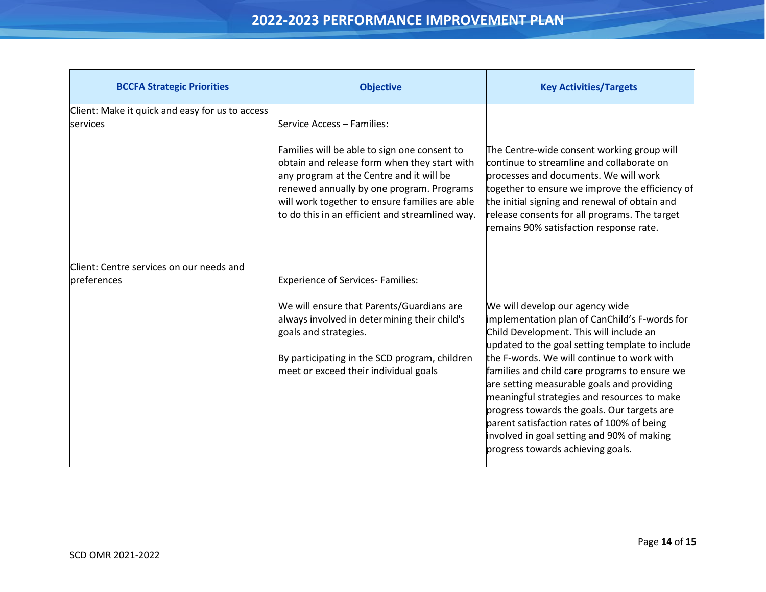<span id="page-13-0"></span>

| <b>BCCFA Strategic Priorities</b>                           | <b>Objective</b>                                                                                                                                                                                                                                                                                                         | <b>Key Activities/Targets</b>                                                                                                                                                                                                                                                                                                                                                                                                                                                                                                                              |
|-------------------------------------------------------------|--------------------------------------------------------------------------------------------------------------------------------------------------------------------------------------------------------------------------------------------------------------------------------------------------------------------------|------------------------------------------------------------------------------------------------------------------------------------------------------------------------------------------------------------------------------------------------------------------------------------------------------------------------------------------------------------------------------------------------------------------------------------------------------------------------------------------------------------------------------------------------------------|
| Client: Make it quick and easy for us to access<br>services | Service Access – Families:<br>Families will be able to sign one consent to<br>obtain and release form when they start with<br>any program at the Centre and it will be<br>renewed annually by one program. Programs<br>will work together to ensure families are able<br>to do this in an efficient and streamlined way. | The Centre-wide consent working group will<br>continue to streamline and collaborate on<br>processes and documents. We will work<br>together to ensure we improve the efficiency of<br>the initial signing and renewal of obtain and<br>release consents for all programs. The target<br>remains 90% satisfaction response rate.                                                                                                                                                                                                                           |
| Client: Centre services on our needs and<br>preferences     | <b>Experience of Services-Families:</b><br>We will ensure that Parents/Guardians are<br>always involved in determining their child's<br>goals and strategies.<br>By participating in the SCD program, children<br>meet or exceed their individual goals                                                                  | We will develop our agency wide<br>implementation plan of CanChild's F-words for<br>Child Development. This will include an<br>updated to the goal setting template to include<br>the F-words. We will continue to work with<br>families and child care programs to ensure we<br>are setting measurable goals and providing<br>meaningful strategies and resources to make<br>progress towards the goals. Our targets are<br>parent satisfaction rates of 100% of being<br>involved in goal setting and 90% of making<br>progress towards achieving goals. |